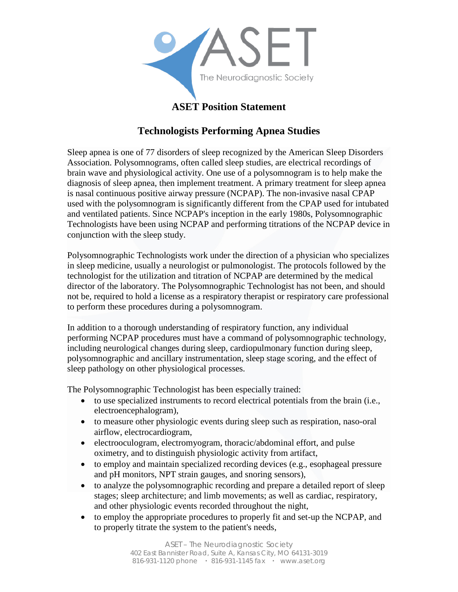

## **ASET Position Statement**

## **Technologists Performing Apnea Studies**

Sleep apnea is one of 77 disorders of sleep recognized by the American Sleep Disorders Association. Polysomnograms, often called sleep studies, are electrical recordings of brain wave and physiological activity. One use of a polysomnogram is to help make the diagnosis of sleep apnea, then implement treatment. A primary treatment for sleep apnea is nasal continuous positive airway pressure (NCPAP). The non-invasive nasal CPAP used with the polysomnogram is significantly different from the CPAP used for intubated and ventilated patients. Since NCPAP's inception in the early 1980s, Polysomnographic Technologists have been using NCPAP and performing titrations of the NCPAP device in conjunction with the sleep study.

Polysomnographic Technologists work under the direction of a physician who specializes in sleep medicine, usually a neurologist or pulmonologist. The protocols followed by the technologist for the utilization and titration of NCPAP are determined by the medical director of the laboratory. The Polysomnographic Technologist has not been, and should not be, required to hold a license as a respiratory therapist or respiratory care professional to perform these procedures during a polysomnogram.

In addition to a thorough understanding of respiratory function, any individual performing NCPAP procedures must have a command of polysomnographic technology, including neurological changes during sleep, cardiopulmonary function during sleep, polysomnographic and ancillary instrumentation, sleep stage scoring, and the effect of sleep pathology on other physiological processes.

The Polysomnographic Technologist has been especially trained:

- to use specialized instruments to record electrical potentials from the brain (i.e., electroencephalogram),
- to measure other physiologic events during sleep such as respiration, naso-oral airflow, electrocardiogram,
- electrooculogram, electromyogram, thoracic/abdominal effort, and pulse oximetry, and to distinguish physiologic activity from artifact,
- to employ and maintain specialized recording devices (e.g., esophageal pressure and pH monitors, NPT strain gauges, and snoring sensors),
- to analyze the polysomnographic recording and prepare a detailed report of sleep stages; sleep architecture; and limb movements; as well as cardiac, respiratory, and other physiologic events recorded throughout the night,
- to employ the appropriate procedures to properly fit and set-up the NCPAP, and to properly titrate the system to the patient's needs,